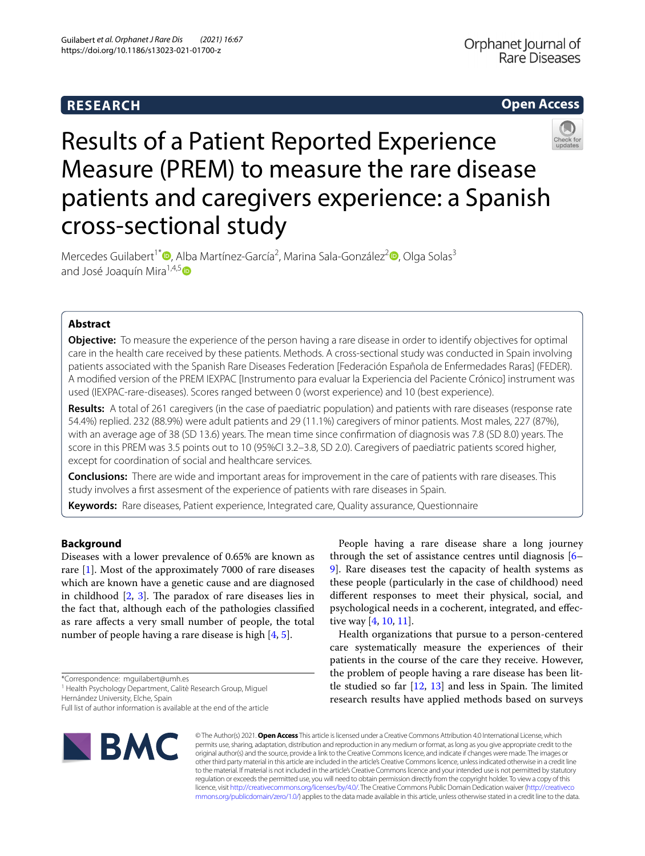# **RESEARCH**

# **Open Access**



# Results of a Patient Reported Experience Measure (PREM) to measure the rare disease patients and caregivers experience: a Spanish cross-sectional study

Mercedes Guilabert<sup>1\*</sup><sup>®</sup>[,](https://orcid.org/0000-0001-9226-860X) Alba Martínez-García<sup>2</sup>, Marina Sala-González<sup>2</sup>®, Olga Solas<sup>3</sup> and José Joaquín Mira $^{1,4,5}$  $^{1,4,5}$  $^{1,4,5}$ 

# **Abstract**

**Objective:** To measure the experience of the person having a rare disease in order to identify objectives for optimal care in the health care received by these patients. Methods. A cross-sectional study was conducted in Spain involving patients associated with the Spanish Rare Diseases Federation [Federación Española de Enfermedades Raras] (FEDER). A modifed version of the PREM IEXPAC [Instrumento para evaluar la Experiencia del Paciente Crónico] instrument was used (IEXPAC-rare-diseases). Scores ranged between 0 (worst experience) and 10 (best experience).

**Results:** A total of 261 caregivers (in the case of paediatric population) and patients with rare diseases (response rate 54.4%) replied. 232 (88.9%) were adult patients and 29 (11.1%) caregivers of minor patients. Most males, 227 (87%), with an average age of 38 (SD 13.6) years. The mean time since confrmation of diagnosis was 7.8 (SD 8.0) years. The score in this PREM was 3.5 points out to 10 (95%CI 3.2–3.8, SD 2.0). Caregivers of paediatric patients scored higher, except for coordination of social and healthcare services.

**Conclusions:** There are wide and important areas for improvement in the care of patients with rare diseases. This study involves a frst assesment of the experience of patients with rare diseases in Spain.

**Keywords:** Rare diseases, Patient experience, Integrated care, Quality assurance, Questionnaire

# **Background**

Diseases with a lower prevalence of 0.65% are known as rare [\[1\]](#page-10-0). Most of the approximately 7000 of rare diseases which are known have a genetic cause and are diagnosed in childhood  $[2, 3]$  $[2, 3]$  $[2, 3]$  $[2, 3]$  $[2, 3]$ . The paradox of rare diseases lies in the fact that, although each of the pathologies classifed as rare afects a very small number of people, the total number of people having a rare disease is high [\[4](#page-10-3), [5\]](#page-10-4).

Full list of author information is available at the end of the article



People having a rare disease share a long journey through the set of assistance centres until diagnosis  $[6-$ [9\]](#page-10-6). Rare diseases test the capacity of health systems as these people (particularly in the case of childhood) need diferent responses to meet their physical, social, and psychological needs in a cocherent, integrated, and efective way [\[4](#page-10-3), [10,](#page-10-7) [11\]](#page-10-8).

Health organizations that pursue to a person-centered care systematically measure the experiences of their patients in the course of the care they receive. However, the problem of people having a rare disease has been little studied so far  $[12, 13]$  $[12, 13]$  $[12, 13]$  $[12, 13]$  and less in Spain. The limited research results have applied methods based on surveys

© The Author(s) 2021. **Open Access** This article is licensed under a Creative Commons Attribution 4.0 International License, which permits use, sharing, adaptation, distribution and reproduction in any medium or format, as long as you give appropriate credit to the original author(s) and the source, provide a link to the Creative Commons licence, and indicate if changes were made. The images or other third party material in this article are included in the article's Creative Commons licence, unless indicated otherwise in a credit line to the material. If material is not included in the article's Creative Commons licence and your intended use is not permitted by statutory regulation or exceeds the permitted use, you will need to obtain permission directly from the copyright holder. To view a copy of this licence, visit [http://creativecommons.org/licenses/by/4.0/.](http://creativecommons.org/licenses/by/4.0/) The Creative Commons Public Domain Dedication waiver ([http://creativeco](http://creativecommons.org/publicdomain/zero/1.0/) [mmons.org/publicdomain/zero/1.0/](http://creativecommons.org/publicdomain/zero/1.0/)) applies to the data made available in this article, unless otherwise stated in a credit line to the data.

<sup>\*</sup>Correspondence: mguilabert@umh.es

<sup>&</sup>lt;sup>1</sup> Health Psychology Department, Calitè Research Group, Miguel Hernández University, Elche, Spain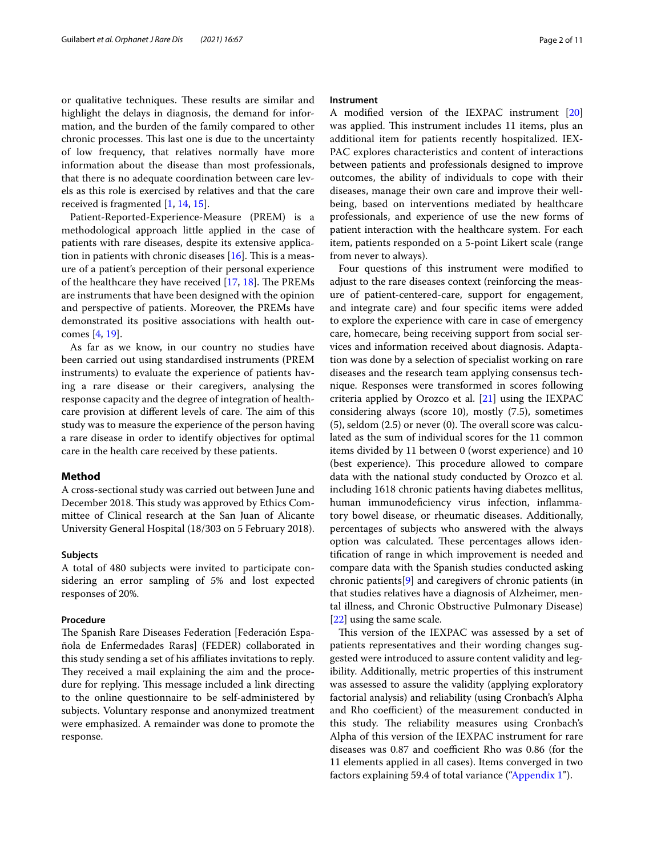or qualitative techniques. These results are similar and highlight the delays in diagnosis, the demand for information, and the burden of the family compared to other chronic processes. This last one is due to the uncertainty of low frequency, that relatives normally have more information about the disease than most professionals, that there is no adequate coordination between care levels as this role is exercised by relatives and that the care received is fragmented [[1,](#page-10-0) [14,](#page-10-11) [15](#page-10-12)].

Patient-Reported-Experience-Measure (PREM) is a methodological approach little applied in the case of patients with rare diseases, despite its extensive application in patients with chronic diseases  $[16]$ . This is a measure of a patient's perception of their personal experience of the healthcare they have received  $[17, 18]$  $[17, 18]$  $[17, 18]$  $[17, 18]$ . The PREMs are instruments that have been designed with the opinion and perspective of patients. Moreover, the PREMs have demonstrated its positive associations with health outcomes [\[4](#page-10-3), [19\]](#page-10-16).

As far as we know, in our country no studies have been carried out using standardised instruments (PREM instruments) to evaluate the experience of patients having a rare disease or their caregivers, analysing the response capacity and the degree of integration of healthcare provision at different levels of care. The aim of this study was to measure the experience of the person having a rare disease in order to identify objectives for optimal care in the health care received by these patients.

## **Method**

A cross-sectional study was carried out between June and December 2018. This study was approved by Ethics Committee of Clinical research at the San Juan of Alicante University General Hospital (18/303 on 5 February 2018).

## **Subjects**

A total of 480 subjects were invited to participate considering an error sampling of 5% and lost expected responses of 20%.

## **Procedure**

The Spanish Rare Diseases Federation [Federación Española de Enfermedades Raras] (FEDER) collaborated in this study sending a set of his afliates invitations to reply. They received a mail explaining the aim and the procedure for replying. This message included a link directing to the online questionnaire to be self-administered by subjects. Voluntary response and anonymized treatment were emphasized. A remainder was done to promote the response.

## **Instrument**

A modifed version of the IEXPAC instrument [[20](#page-10-17)] was applied. This instrument includes 11 items, plus an additional item for patients recently hospitalized. IEX-PAC explores characteristics and content of interactions between patients and professionals designed to improve outcomes, the ability of individuals to cope with their diseases, manage their own care and improve their wellbeing, based on interventions mediated by healthcare professionals, and experience of use the new forms of patient interaction with the healthcare system. For each item, patients responded on a 5-point Likert scale (range from never to always).

Four questions of this instrument were modifed to adjust to the rare diseases context (reinforcing the measure of patient-centered-care, support for engagement, and integrate care) and four specifc items were added to explore the experience with care in case of emergency care, homecare, being receiving support from social services and information received about diagnosis. Adaptation was done by a selection of specialist working on rare diseases and the research team applying consensus technique. Responses were transformed in scores following criteria applied by Orozco et al.  $[21]$  $[21]$  $[21]$  using the IEXPAC considering always (score 10), mostly (7.5), sometimes  $(5)$ , seldom  $(2.5)$  or never  $(0)$ . The overall score was calculated as the sum of individual scores for the 11 common items divided by 11 between 0 (worst experience) and 10 (best experience). This procedure allowed to compare data with the national study conducted by Orozco et al. including 1618 chronic patients having diabetes mellitus, human immunodefciency virus infection, infammatory bowel disease, or rheumatic diseases. Additionally, percentages of subjects who answered with the always option was calculated. These percentages allows identifcation of range in which improvement is needed and compare data with the Spanish studies conducted asking chronic patients[\[9](#page-10-6)] and caregivers of chronic patients (in that studies relatives have a diagnosis of Alzheimer, mental illness, and Chronic Obstructive Pulmonary Disease) [[22\]](#page-10-19) using the same scale.

This version of the IEXPAC was assessed by a set of patients representatives and their wording changes suggested were introduced to assure content validity and legibility. Additionally, metric properties of this instrument was assessed to assure the validity (applying exploratory factorial analysis) and reliability (using Cronbach's Alpha and Rho coefficient) of the measurement conducted in this study. The reliability measures using Cronbach's Alpha of this version of the IEXPAC instrument for rare diseases was  $0.87$  and coefficient Rho was  $0.86$  (for the 11 elements applied in all cases). Items converged in two factors explaining 59.4 of total variance (["Appendix 1"](#page-8-0)).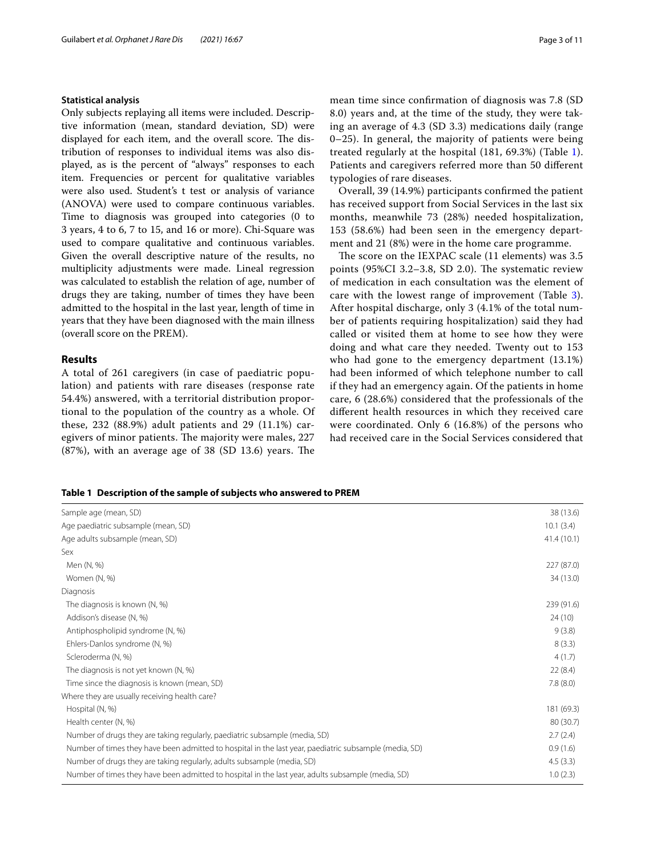# **Statistical analysis**

Only subjects replaying all items were included. Descriptive information (mean, standard deviation, SD) were displayed for each item, and the overall score. The distribution of responses to individual items was also displayed, as is the percent of "always" responses to each item. Frequencies or percent for qualitative variables were also used. Student's t test or analysis of variance (ANOVA) were used to compare continuous variables. Time to diagnosis was grouped into categories (0 to 3 years, 4 to 6, 7 to 15, and 16 or more). Chi-Square was used to compare qualitative and continuous variables. Given the overall descriptive nature of the results, no multiplicity adjustments were made. Lineal regression was calculated to establish the relation of age, number of drugs they are taking, number of times they have been admitted to the hospital in the last year, length of time in years that they have been diagnosed with the main illness (overall score on the PREM).

# **Results**

A total of 261 caregivers (in case of paediatric population) and patients with rare diseases (response rate 54.4%) answered, with a territorial distribution proportional to the population of the country as a whole. Of these, 232 (88.9%) adult patients and 29 (11.1%) caregivers of minor patients. The majority were males, 227  $(87%)$ , with an average age of 38  $(SD 13.6)$  years. The mean time since confrmation of diagnosis was 7.8 (SD 8.0) years and, at the time of the study, they were taking an average of 4.3 (SD 3.3) medications daily (range 0–25). In general, the majority of patients were being treated regularly at the hospital (181, 69.3%) (Table [1](#page-2-0)). Patients and caregivers referred more than 50 diferent typologies of rare diseases.

Overall, 39 (14.9%) participants confrmed the patient has received support from Social Services in the last six months, meanwhile 73 (28%) needed hospitalization, 153 (58.6%) had been seen in the emergency department and 21 (8%) were in the home care programme.

The score on the IEXPAC scale (11 elements) was 3.5 points  $(95\%CI\ 3.2-3.8\, SD\ 2.0)$ . The systematic review of medication in each consultation was the element of care with the lowest range of improvement (Table [3](#page-4-0)). After hospital discharge, only 3 (4.1% of the total number of patients requiring hospitalization) said they had called or visited them at home to see how they were doing and what care they needed. Twenty out to 153 who had gone to the emergency department (13.1%) had been informed of which telephone number to call if they had an emergency again. Of the patients in home care, 6 (28.6%) considered that the professionals of the diferent health resources in which they received care were coordinated. Only 6 (16.8%) of the persons who had received care in the Social Services considered that

## <span id="page-2-0"></span>**Table 1 Description of the sample of subjects who answered to PREM**

| Sample age (mean, SD)                                                                                  | 38 (13.6)  |
|--------------------------------------------------------------------------------------------------------|------------|
| Age paediatric subsample (mean, SD)                                                                    | 10.1(3.4)  |
| Age adults subsample (mean, SD)                                                                        | 41.4(10.1) |
| Sex                                                                                                    |            |
| Men (N, %)                                                                                             | 227 (87.0) |
| Women (N, %)                                                                                           | 34 (13.0)  |
| Diagnosis                                                                                              |            |
| The diagnosis is known (N, %)                                                                          | 239 (91.6) |
| Addison's disease (N, %)                                                                               | 24(10)     |
| Antiphospholipid syndrome (N, %)                                                                       | 9(3.8)     |
| Ehlers-Danlos syndrome (N, %)                                                                          | 8(3.3)     |
| Scleroderma (N, %)                                                                                     | 4(1.7)     |
| The diagnosis is not yet known (N, %)                                                                  | 22(8.4)    |
| Time since the diagnosis is known (mean, SD)                                                           | 7.8(8.0)   |
| Where they are usually receiving health care?                                                          |            |
| Hospital (N, %)                                                                                        | 181 (69.3) |
| Health center (N, %)                                                                                   | 80 (30.7)  |
| Number of drugs they are taking regularly, paediatric subsample (media, SD)                            | 2.7(2.4)   |
| Number of times they have been admitted to hospital in the last year, paediatric subsample (media, SD) | 0.9(1.6)   |
| Number of drugs they are taking regularly, adults subsample (media, SD)                                | 4.5(3.3)   |
| Number of times they have been admitted to hospital in the last year, adults subsample (media, SD)     | 1.0(2.3)   |
|                                                                                                        |            |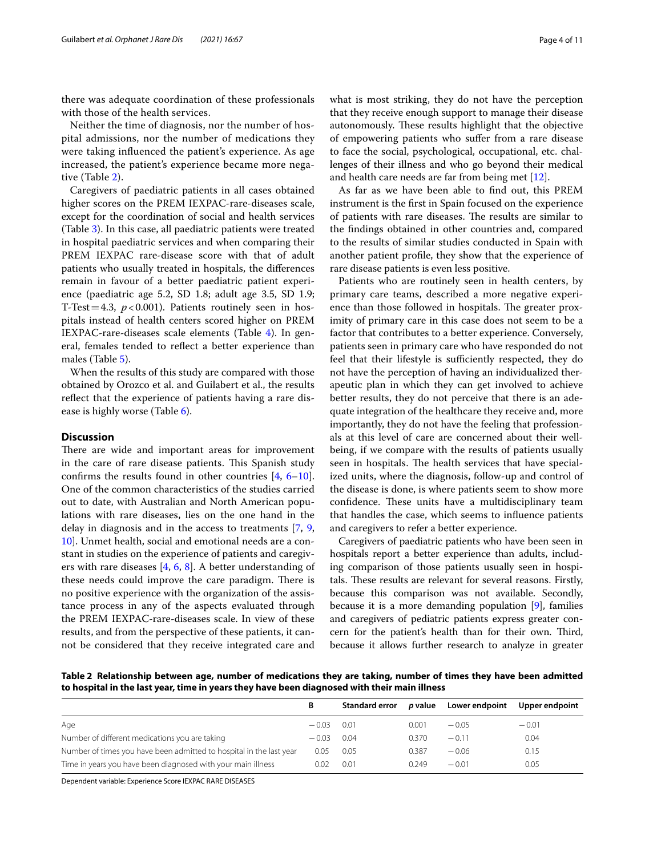there was adequate coordination of these professionals with those of the health services.

Neither the time of diagnosis, nor the number of hospital admissions, nor the number of medications they were taking infuenced the patient's experience. As age increased, the patient's experience became more negative (Table [2](#page-3-0)).

Caregivers of paediatric patients in all cases obtained higher scores on the PREM IEXPAC-rare-diseases scale, except for the coordination of social and health services (Table [3\)](#page-4-0). In this case, all paediatric patients were treated in hospital paediatric services and when comparing their PREM IEXPAC rare-disease score with that of adult patients who usually treated in hospitals, the diferences remain in favour of a better paediatric patient experience (paediatric age 5.2, SD 1.8; adult age 3.5, SD 1.9; T-Test=4.3,  $p < 0.001$ ). Patients routinely seen in hospitals instead of health centers scored higher on PREM IEXPAC-rare-diseases scale elements (Table [4](#page-6-0)). In general, females tended to refect a better experience than males (Table [5](#page-7-0)).

When the results of this study are compared with those obtained by Orozco et al. and Guilabert et al., the results reflect that the experience of patients having a rare disease is highly worse (Table [6\)](#page-7-1).

# **Discussion**

There are wide and important areas for improvement in the care of rare disease patients. This Spanish study confrms the results found in other countries [[4,](#page-10-3) [6](#page-10-5)[–10](#page-10-7)]. One of the common characteristics of the studies carried out to date, with Australian and North American populations with rare diseases, lies on the one hand in the delay in diagnosis and in the access to treatments [[7,](#page-10-20) [9](#page-10-6), [10\]](#page-10-7). Unmet health, social and emotional needs are a constant in studies on the experience of patients and caregivers with rare diseases [[4,](#page-10-3) [6](#page-10-5), [8](#page-10-21)]. A better understanding of these needs could improve the care paradigm. There is no positive experience with the organization of the assistance process in any of the aspects evaluated through the PREM IEXPAC-rare-diseases scale. In view of these results, and from the perspective of these patients, it cannot be considered that they receive integrated care and what is most striking, they do not have the perception that they receive enough support to manage their disease autonomously. These results highlight that the objective of empowering patients who sufer from a rare disease to face the social, psychological, occupational, etc. challenges of their illness and who go beyond their medical and health care needs are far from being met [[12\]](#page-10-9).

As far as we have been able to fnd out, this PREM instrument is the frst in Spain focused on the experience of patients with rare diseases. The results are similar to the fndings obtained in other countries and, compared to the results of similar studies conducted in Spain with another patient profle, they show that the experience of rare disease patients is even less positive.

Patients who are routinely seen in health centers, by primary care teams, described a more negative experience than those followed in hospitals. The greater proximity of primary care in this case does not seem to be a factor that contributes to a better experience. Conversely, patients seen in primary care who have responded do not feel that their lifestyle is sufficiently respected, they do not have the perception of having an individualized therapeutic plan in which they can get involved to achieve better results, they do not perceive that there is an adequate integration of the healthcare they receive and, more importantly, they do not have the feeling that professionals at this level of care are concerned about their wellbeing, if we compare with the results of patients usually seen in hospitals. The health services that have specialized units, where the diagnosis, follow-up and control of the disease is done, is where patients seem to show more confidence. These units have a multidisciplinary team that handles the case, which seems to infuence patients and caregivers to refer a better experience.

Caregivers of paediatric patients who have been seen in hospitals report a better experience than adults, including comparison of those patients usually seen in hospitals. These results are relevant for several reasons. Firstly, because this comparison was not available. Secondly, because it is a more demanding population [\[9](#page-10-6)], families and caregivers of pediatric patients express greater concern for the patient's health than for their own. Third, because it allows further research to analyze in greater

<span id="page-3-0"></span>**Table 2 Relationship between age, number of medications they are taking, number of times they have been admitted to hospital in the last year, time in years they have been diagnosed with their main illness**

|                                                                     | В       | Standard error |       | p value Lower endpoint | Upper endpoint |
|---------------------------------------------------------------------|---------|----------------|-------|------------------------|----------------|
| Age                                                                 | $-0.03$ | 0.01           | 0.001 | $-0.05$                | $-0.01$        |
| Number of different medications you are taking                      | $-0.03$ | 0.04           | 0.370 | $-0.11$                | 0.04           |
| Number of times you have been admitted to hospital in the last year | 0.05    | 0.05           | 0.387 | $-0.06$                | 0.15           |
| Time in years you have been diagnosed with your main illness        | 0.02    | 0.01           | 0.249 | $-0.01$                | 0.05           |

Dependent variable: Experience Score IEXPAC RARE DISEASES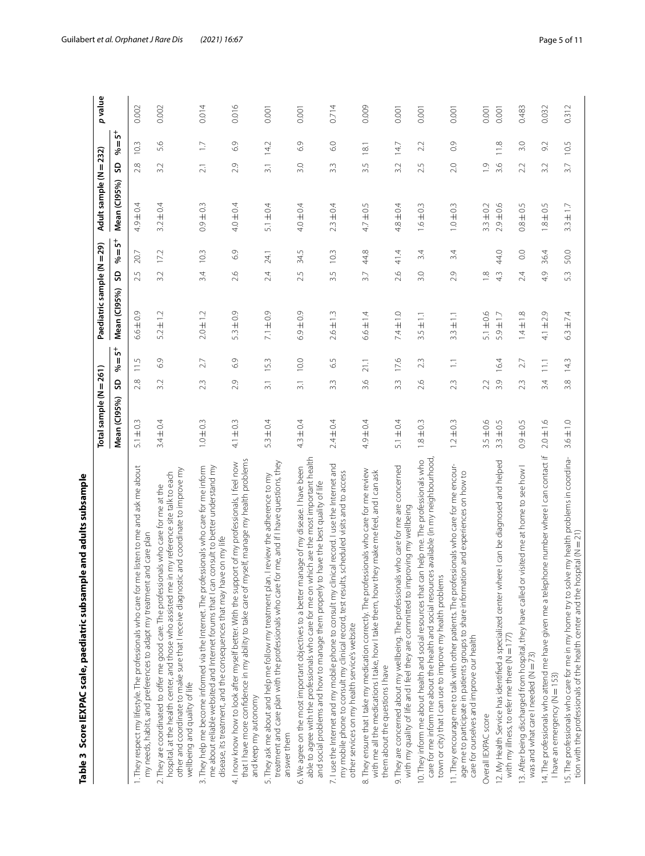<span id="page-4-0"></span>

| le and adults subsample<br>Table 3 Score IEXPAC scale, paediatric subsamp                                                                                                                                                                                                                                           |                        |                          |                    |                      |                  |                         |                        |                  |                          |         |
|---------------------------------------------------------------------------------------------------------------------------------------------------------------------------------------------------------------------------------------------------------------------------------------------------------------------|------------------------|--------------------------|--------------------|----------------------|------------------|-------------------------|------------------------|------------------|--------------------------|---------|
|                                                                                                                                                                                                                                                                                                                     | Total sample (N = 261) |                          |                    | Paediatric sample (N |                  | $= 29$                  | Adult sample (N = 232) |                  |                          | p value |
|                                                                                                                                                                                                                                                                                                                     | Mean (CI95%)           | శ<br>SD                  | $\frac{1}{2}$<br>Ш | Mean (CI95%)         | SD               | $\frac{1}{2}$<br>Ш<br>శ | Mean (Cl95%)           | SD               | ້ ທ<br>$\mathbf{I}$<br>శ |         |
| 1. They respect my lifestyle. The professionals who care for me listen to me and ask me about<br>my needs, habits, and preferences to adapt my treatment and care plan                                                                                                                                              | $5.1 \pm 0.3$          | 11.5<br>2.8              |                    | $6.6 \pm 0.9$        | 2.5              | 20.7                    | $4.9 \pm 0.4$          | 2.8              | 10.3                     | 0.002   |
| other and coordinate to make sure that I receive diagnostic and coordinate to improve my<br>hospital, at the health center, and those who assisted me in my reference site talk to each<br>2. They are coordinated to offer me good care. The professionals who care for me at the<br>wellbeing and quality of life | $3.4 \pm 0.4$          | 3.2                      | 6.9                | $5.2 \pm 1.2$        | 3.2              | 17.2                    | $3.2 \pm 0.4$          | 3.2              | 5.6                      | 0.002   |
| 3. They help me become informed via the Internet. The professionals who care for me inform<br>consult to better understand my<br>e on my life<br>me about reliable websited and Internet forums that I can<br>disease, its treatment, and the consequences that may hav                                             | $1.0 \pm 0.3$          | 2.3                      | 2.7                | $2.0 \pm 1.2$        | 3.4              | 10.3                    | $0.9 \pm 0.3$          | $\overline{2.1}$ | $\Box$                   | 0.014   |
| that I have more confidence in my ability to take care of myself, manage my health problems<br>4.1 now know how to look after myself better. With the support of my professionals, I feel now<br>and keep my autonomy                                                                                               | $4.1 \pm 0.3$          | 2.9                      | 6.9                | $5.3 \pm 0.9$        | 2.6              | 6.9                     | $4.0 \pm 0.4$          | 2.9              | 6.9                      | 0.016   |
| treatment and care plan with the professionals who care for me, and if I have questions, they<br>5. They ask me about and help me follow my treatment plan. I review the adherence to my<br>answer them                                                                                                             | $5.3 \pm 0.4$          | 15.3<br>$\overline{3}.1$ |                    | $7.1 \pm 0.9$        | 2.4              | 24.1                    | $5.1 \pm 0.4$          | $\overline{3}$ . | 142                      | 0.001   |
| able to agree with the professionals who care for me on which are the most important health<br>6. We agree on the most important objectives to a better manage of my disease. I have been<br>and social problems and how to manage them properly to have the best quality of life                                   | $4.3 \pm 0.4$          | 10.0<br>$\overline{3}$ . |                    | $6.9 \pm 0.9$        | 2.5              | $\cup$<br>34.           | $4.0 \pm 0.4$          | 3.0              | 6.9                      | 0.001   |
| 7. I use the Internet and my mobile phone to consult my clinical record. I use the Internet and<br>my mobile phone to consult my clinical record, test results, scheduled visits and to access<br>other services on my health service's website                                                                     | $2.4 \pm 0.4$          | 3.3                      | 6.5                | $2.6 \pm 1.3$        | 3.5              | 10.3                    | $2.3 \pm 0.4$          | 3.3              | 6.0                      | 0.714   |
| 8. They ensure that I take my medication correctly. The professionals who care for me review<br>with me all the medications I take, how I take them, how they make me feel, and I can ask<br>them about the questions I have                                                                                        | $4.9 \pm 0.4$          | 21.1<br>3.6              |                    | $6.6 \pm 1.4$        | 3.7              | œ<br>4                  | $4.7 \pm 0.5$          | 3.5              | 18.1                     | 0.009   |
| 9. They are concerned about my wellbeing. The professionals who care for me are concerned<br>with my quality of life and I feel they are committed to improving my wellbeing                                                                                                                                        | $5.1 \pm 0.4$          | 17.6<br>3.3              |                    | $7.4 \pm 1.0$        | 2.6              | 4<br>$\frac{4}{5}$      | $4.8 \pm 0.4$          | 3.2              | 14.7                     | 0.001   |
| care for me inform me about the health and social resources available (in my neighbourhood<br>10. They inform me about health and social resources that can help me. The professionals who<br>town or city) that I can use to improve my health problems                                                            | $1.8 \pm 0.3$          | 2.6                      | 23                 | $3.5 \pm 1.1$        | 3.0              | 3.4                     | $1.6 \pm 0.3$          | 2.5              | 2.2                      | 0.001   |
| 11. They encourage me to talk with other patients. The professionals who care for me encour-<br>age me to participate in patients groups to share information and experiences on how to<br>care for ourselves and improve our health                                                                                | $1.2 \pm 0.3$          | 23                       | Ξ                  | $3.3 \pm 1.1$        | 2.9              | 3.4                     | $1.0 \pm 0.3$          | 2.0              | $\overline{0}$           | 0.001   |
| Overall IEXPAC score                                                                                                                                                                                                                                                                                                | $3.5 \pm 0.6$          | 2.2                      |                    | $5.1 \pm 0.6$        | $\frac{8}{1}$    |                         | $3.3 \pm 0.2$          | $\overline{0}$   |                          | 0.001   |
| 12. My Health Service has identified a specialized center where I can be diagnosed and helped<br>with my illness, to refer me there (N = 177)                                                                                                                                                                       | $3.3 \pm 0.5$          | 16.4<br>3.9              |                    | $5.9 \pm 1.7$        | $4.\overline{3}$ | Q<br>4                  | $2.9 \pm 0.6$          | 3.6              | $\frac{8}{118}$          | 0.001   |
| visited me at home to see how I<br>13. After being discharged from hospital, they have called or<br>was and what care I needed (N = 73)                                                                                                                                                                             | $0.9 + 0.5$            | 23                       | 27                 | $1.4 \pm 1.8$        | 24               | $\overline{0}$ .        | $0.8 + 0.5$            | 2.2              | 3.0                      | 0.483   |
| 14. The professionals who attend me have given me a telephone number where I can contact if<br>I have an emergency (N = 153)                                                                                                                                                                                        | $2.0 \pm 1.6$          | $\overline{111}$<br>3.4  |                    | $4.1 \pm 2.9$        | 4.9              | 36.4                    | $1.8 \pm 0.5$          | 3.2              | 92                       | 0.032   |
| 5. The professionals who care for me in my home try to solve my health problems in coordina-<br>tion with the professionals of the health center and the hospital (N = 21)                                                                                                                                          | $3.6 \pm 1.0$          | 14.3<br>3.8              |                    | $6.3 \pm 7.4$        | 5.3              | 50.0                    | $3.3 \pm 1.7$          | 3.7              | 10.5                     | 0.312   |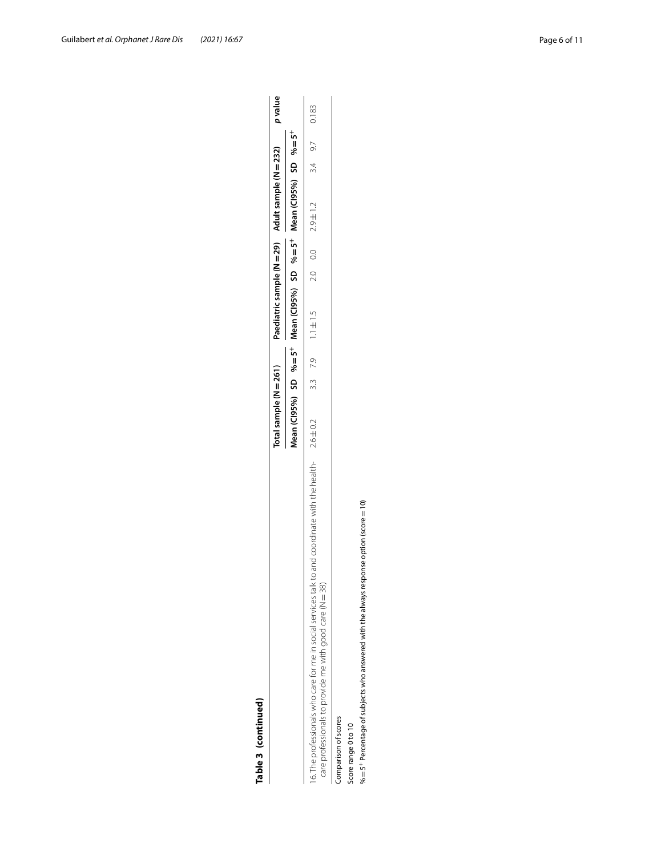| ٦<br>I<br>г<br>Ì | í |
|------------------|---|
|                  |   |

| Table 3 (continued)                                                                                                                                                     |                                                                                                          |  |                       |  |                           |                   |  |
|-------------------------------------------------------------------------------------------------------------------------------------------------------------------------|----------------------------------------------------------------------------------------------------------|--|-----------------------|--|---------------------------|-------------------|--|
|                                                                                                                                                                         | Total sample (N = 261) Paediatric sample (N = 29) Adult sample (N = 232) pyalue                          |  |                       |  |                           |                   |  |
|                                                                                                                                                                         | Mean (Cl95%) SD % = 5 <sup>+</sup> Mean (Cl95%) SD % = 5 <sup>+</sup> Mean (Cl95%) SD % = 5 <sup>+</sup> |  |                       |  |                           |                   |  |
| 6. The professionals who care for me in social services talk to and coordinate with the health- 2.6±0.2<br>care professionals to provide me with good care ( $N = 38$ ) |                                                                                                          |  | 3.3 7.9 $1.1 \pm 1.5$ |  | $2.0$ $0.0$ $2.9 \pm 1.2$ | $3.4$ $9.7$ 0.183 |  |
| Comparison of scores                                                                                                                                                    |                                                                                                          |  |                       |  |                           |                   |  |
| Score range 0 to 10                                                                                                                                                     |                                                                                                          |  |                       |  |                           |                   |  |
| $\% = 5^+$ Percentage of subjects who answered with the always response option (score = 10)                                                                             |                                                                                                          |  |                       |  |                           |                   |  |

 $% = 5^{+}$  Percentage of subjects who answered with the always response option (score = 10)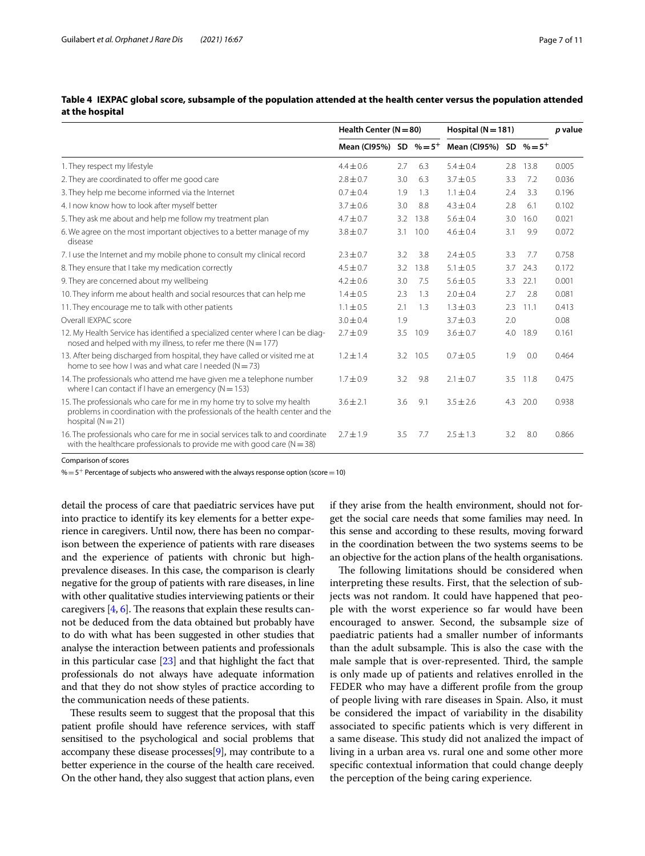|                                                                                                                                                                                | Health Center $(N = 80)$    |     |      | Hospital ( $N = 181$ )      |     |          | p value |
|--------------------------------------------------------------------------------------------------------------------------------------------------------------------------------|-----------------------------|-----|------|-----------------------------|-----|----------|---------|
|                                                                                                                                                                                | Mean (Cl95%) SD $% = 5^{+}$ |     |      | Mean (Cl95%) SD $% = 5^{+}$ |     |          |         |
| 1. They respect my lifestyle                                                                                                                                                   | $4.4 \pm 0.6$               | 2.7 | 6.3  | $5.4 + 0.4$                 | 2.8 | 13.8     | 0.005   |
| 2. They are coordinated to offer me good care                                                                                                                                  | $2.8 \pm 0.7$               | 3.0 | 6.3  | $3.7 \pm 0.5$               | 3.3 | 7.2      | 0.036   |
| 3. They help me become informed via the Internet                                                                                                                               | $0.7 \pm 0.4$               | 1.9 | 1.3  | $1.1 \pm 0.4$               | 2.4 | 3.3      | 0.196   |
| 4. I now know how to look after myself better                                                                                                                                  | $3.7 \pm 0.6$               | 3.0 | 8.8  | $4.3 \pm 0.4$               | 2.8 | 6.1      | 0.102   |
| 5. They ask me about and help me follow my treatment plan                                                                                                                      | $4.7 \pm 0.7$               | 3.2 | 13.8 | $5.6 \pm 0.4$               | 3.0 | 16.0     | 0.021   |
| 6. We agree on the most important objectives to a better manage of my<br>disease                                                                                               | $3.8 \pm 0.7$               | 3.1 | 10.0 | $4.6 \pm 0.4$               | 3.1 | 9.9      | 0.072   |
| 7. I use the Internet and my mobile phone to consult my clinical record                                                                                                        | $2.3 \pm 0.7$               | 3.2 | 3.8  | $2.4 \pm 0.5$               | 3.3 | 7.7      | 0.758   |
| 8. They ensure that I take my medication correctly                                                                                                                             | $4.5 \pm 0.7$               | 3.2 | 13.8 | $5.1 \pm 0.5$               | 3.7 | 24.3     | 0.172   |
| 9. They are concerned about my wellbeing                                                                                                                                       | $4.2 \pm 0.6$               | 3.0 | 7.5  | $5.6 \pm 0.5$               | 3.3 | 22.1     | 0.001   |
| 10. They inform me about health and social resources that can help me                                                                                                          | $1.4 \pm 0.5$               | 2.3 | 1.3  | $2.0 \pm 0.4$               | 2.7 | 2.8      | 0.081   |
| 11. They encourage me to talk with other patients                                                                                                                              | $1.1 \pm 0.5$               | 2.1 | 1.3  | $1.3 \pm 0.3$               | 2.3 | 11.1     | 0.413   |
| Overall IEXPAC score                                                                                                                                                           | $3.0 \pm 0.4$               | 1.9 |      | $3.7 \pm 0.3$               | 2.0 |          | 0.08    |
| 12. My Health Service has identified a specialized center where I can be diag-<br>nosed and helped with my illness, to refer me there ( $N = 177$ )                            | $2.7 \pm 0.9$               | 3.5 | 10.9 | $3.6 \pm 0.7$               | 4.0 | 18.9     | 0.161   |
| 13. After being discharged from hospital, they have called or visited me at<br>home to see how I was and what care I needed $(N = 73)$                                         | $1.2 \pm 1.4$               | 3.2 | 10.5 | $0.7 \pm 0.5$               | 1.9 | 0.0      | 0.464   |
| 14. The professionals who attend me have given me a telephone number<br>where I can contact if I have an emergency ( $N = 153$ )                                               | $1.7 \pm 0.9$               | 3.2 | 9.8  | $2.1 \pm 0.7$               |     | 3.5 11.8 | 0.475   |
| 15. The professionals who care for me in my home try to solve my health<br>problems in coordination with the professionals of the health center and the<br>hospital $(N = 21)$ | $3.6 \pm 2.1$               | 3.6 | 9.1  | $3.5 \pm 2.6$               | 4.3 | 20.0     | 0.938   |
| 16. The professionals who care for me in social services talk to and coordinate<br>with the healthcare professionals to provide me with good care ( $N = 38$ )                 | $2.7 \pm 1.9$               | 3.5 | 7.7  | $2.5 + 1.3$                 | 3.2 | 8.0      | 0.866   |

<span id="page-6-0"></span>**Table 4 IEXPAC global score, subsample of the population attended at the health center versus the population attended at the hospital**

Comparison of scores

 $\% = 5^{+}$  Percentage of subjects who answered with the always response option (score = 10)

detail the process of care that paediatric services have put into practice to identify its key elements for a better experience in caregivers. Until now, there has been no comparison between the experience of patients with rare diseases and the experience of patients with chronic but highprevalence diseases. In this case, the comparison is clearly negative for the group of patients with rare diseases, in line with other qualitative studies interviewing patients or their caregivers  $[4, 6]$  $[4, 6]$ . The reasons that explain these results cannot be deduced from the data obtained but probably have to do with what has been suggested in other studies that analyse the interaction between patients and professionals in this particular case [\[23\]](#page-10-22) and that highlight the fact that professionals do not always have adequate information and that they do not show styles of practice according to the communication needs of these patients.

These results seem to suggest that the proposal that this patient profle should have reference services, with staf sensitised to the psychological and social problems that accompany these disease processes[\[9](#page-10-6)], may contribute to a better experience in the course of the health care received. On the other hand, they also suggest that action plans, even if they arise from the health environment, should not forget the social care needs that some families may need. In this sense and according to these results, moving forward in the coordination between the two systems seems to be an objective for the action plans of the health organisations.

The following limitations should be considered when interpreting these results. First, that the selection of subjects was not random. It could have happened that people with the worst experience so far would have been encouraged to answer. Second, the subsample size of paediatric patients had a smaller number of informants than the adult subsample. This is also the case with the male sample that is over-represented. Third, the sample is only made up of patients and relatives enrolled in the FEDER who may have a diferent profle from the group of people living with rare diseases in Spain. Also, it must be considered the impact of variability in the disability associated to specifc patients which is very diferent in a same disease. This study did not analized the impact of living in a urban area vs. rural one and some other more specifc contextual information that could change deeply the perception of the being caring experience.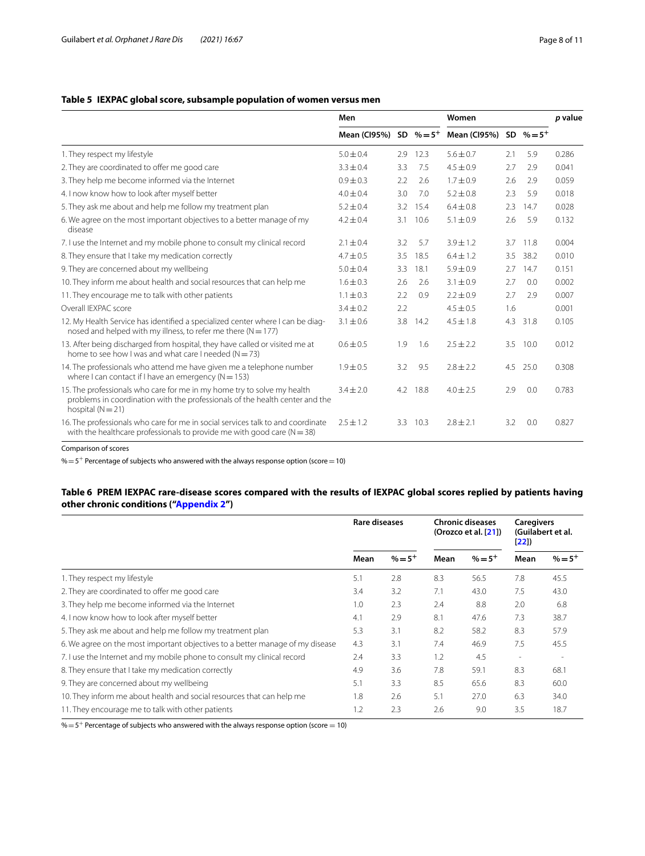# <span id="page-7-0"></span>**Table 5 IEXPAC global score, subsample population of women versus men**

|                                                                                                                                                                                | Men           |     |          | Women                                                 |     |      | <i>p</i> value |
|--------------------------------------------------------------------------------------------------------------------------------------------------------------------------------|---------------|-----|----------|-------------------------------------------------------|-----|------|----------------|
|                                                                                                                                                                                |               |     |          | Mean (Cl95%) SD $\% = 5^+$ Mean (Cl95%) SD $\% = 5^+$ |     |      |                |
| 1. They respect my lifestyle                                                                                                                                                   | $5.0 + 0.4$   | 2.9 | 12.3     | $5.6 + 0.7$                                           | 2.1 | 5.9  | 0.286          |
| 2. They are coordinated to offer me good care                                                                                                                                  | $3.3 \pm 0.4$ | 3.3 | 7.5      | $4.5 \pm 0.9$                                         | 2.7 | 2.9  | 0.041          |
| 3. They help me become informed via the Internet                                                                                                                               | $0.9 \pm 0.3$ | 2.2 | 2.6      | $1.7 \pm 0.9$                                         | 2.6 | 2.9  | 0.059          |
| 4. I now know how to look after myself better                                                                                                                                  | $4.0 \pm 0.4$ | 3.0 | 7.0      | $5.2 \pm 0.8$                                         | 2.3 | 5.9  | 0.018          |
| 5. They ask me about and help me follow my treatment plan                                                                                                                      | $5.2 \pm 0.4$ | 3.2 | 15.4     | $6.4 + 0.8$                                           | 2.3 | 14.7 | 0.028          |
| 6. We agree on the most important objectives to a better manage of my<br>disease                                                                                               | $4.2 \pm 0.4$ | 3.1 | 10.6     | $5.1 \pm 0.9$                                         | 2.6 | 5.9  | 0.132          |
| 7. I use the Internet and my mobile phone to consult my clinical record                                                                                                        | $2.1 \pm 0.4$ | 3.2 | 5.7      | $3.9 \pm 1.2$                                         | 3.7 | 11.8 | 0.004          |
| 8. They ensure that I take my medication correctly                                                                                                                             | $4.7 + 0.5$   | 3.5 | 18.5     | $6.4 \pm 1.2$                                         | 3.5 | 38.2 | 0.010          |
| 9. They are concerned about my wellbeing                                                                                                                                       | $5.0 \pm 0.4$ | 3.3 | 18.1     | $5.9 \pm 0.9$                                         | 2.7 | 14.7 | 0.151          |
| 10. They inform me about health and social resources that can help me                                                                                                          | $1.6 + 0.3$   | 2.6 | 2.6      | $3.1 \pm 0.9$                                         | 2.7 | 0.0  | 0.002          |
| 11. They encourage me to talk with other patients                                                                                                                              | $1.1 \pm 0.3$ | 2.2 | 0.9      | $2.2 \pm 0.9$                                         | 2.7 | 2.9  | 0.007          |
| Overall IFXPAC score                                                                                                                                                           | $3.4 \pm 0.2$ | 2.2 |          | $4.5 \pm 0.5$                                         | 1.6 |      | 0.001          |
| 12. My Health Service has identified a specialized center where I can be diag-<br>nosed and helped with my illness, to refer me there ( $N = 177$ )                            | $3.1 \pm 0.6$ | 3.8 | 14.2     | $4.5 \pm 1.8$                                         | 4.3 | 31.8 | 0.105          |
| 13. After being discharged from hospital, they have called or visited me at<br>home to see how I was and what care I needed ( $N = 73$ )                                       | $0.6 \pm 0.5$ | 1.9 | 1.6      | $2.5 \pm 2.2$                                         | 3.5 | 10.0 | 0.012          |
| 14. The professionals who attend me have given me a telephone number<br>where I can contact if I have an emergency ( $N = 153$ )                                               | $1.9 \pm 0.5$ | 3.2 | 9.5      | $2.8 \pm 2.2$                                         | 4.5 | 25.0 | 0.308          |
| 15. The professionals who care for me in my home try to solve my health<br>problems in coordination with the professionals of the health center and the<br>hospital $(N = 21)$ | $3.4 \pm 2.0$ |     | 4.2 18.8 | $4.0 \pm 2.5$                                         | 2.9 | 0.0  | 0.783          |
| 16. The professionals who care for me in social services talk to and coordinate<br>with the healthcare professionals to provide me with good care ( $N = 38$ )                 | $2.5 + 1.2$   | 3.3 | 10.3     | $2.8 + 2.1$                                           | 3.2 | 0.0  | 0.827          |

Comparison of scores

 $\% = 5^{+}$  Percentage of subjects who answered with the always response option (score = 10)

# <span id="page-7-1"></span>**Table 6 PREM IEXPAC rare-disease scores compared with the results of IEXPAC global scores replied by patients having other chronic conditions (["Appendix 2](#page-9-0)")**

|                                                                               | <b>Rare diseases</b> |            |      | <b>Chronic diseases</b><br>(Orozco et al. [21]) | <b>Caregivers</b><br>[22] | (Guilabert et al. |
|-------------------------------------------------------------------------------|----------------------|------------|------|-------------------------------------------------|---------------------------|-------------------|
|                                                                               | Mean                 | $\% = 5^+$ | Mean | $% = 5^{+}$                                     | Mean                      | $% = 5^{+}$       |
| 1. They respect my lifestyle                                                  | 5.1                  | 2.8        | 8.3  | 56.5                                            | 7.8                       | 45.5              |
| 2. They are coordinated to offer me good care                                 | 3.4                  | 3.2        | 7.1  | 43.0                                            | 7.5                       | 43.0              |
| 3. They help me become informed via the Internet                              | 1.0                  | 2.3        | 2.4  | 8.8                                             | 2.0                       | 6.8               |
| 4. I now know how to look after myself better                                 | 4.1                  | 2.9        | 8.1  | 47.6                                            | 7.3                       | 38.7              |
| 5. They ask me about and help me follow my treatment plan                     | 5.3                  | 3.1        | 8.2  | 58.2                                            | 8.3                       | 57.9              |
| 6. We agree on the most important objectives to a better manage of my disease | 4.3                  | 3.1        | 7.4  | 46.9                                            | 7.5                       | 45.5              |
| 7. I use the Internet and my mobile phone to consult my clinical record       | 2.4                  | 3.3        | 1.2  | 4.5                                             | $\overline{\phantom{a}}$  |                   |
| 8. They ensure that I take my medication correctly                            | 4.9                  | 3.6        | 7.8  | 59.1                                            | 8.3                       | 68.1              |
| 9. They are concerned about my wellbeing                                      | 5.1                  | 3.3        | 8.5  | 65.6                                            | 8.3                       | 60.0              |
| 10. They inform me about health and social resources that can help me         | 1.8                  | 2.6        | 5.1  | 27.0                                            | 6.3                       | 34.0              |
| 11. They encourage me to talk with other patients                             | 1.2                  | 2.3        | 2.6  | 9.0                                             | 3.5                       | 18.7              |

 $\% = 5^{+}$  Percentage of subjects who answered with the always response option (score = 10)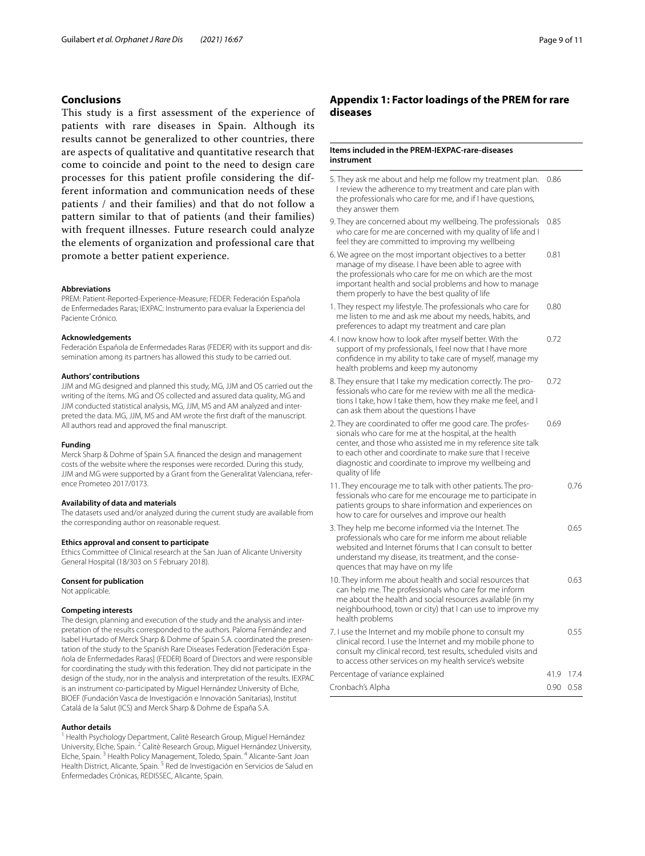# **Conclusions**

This study is a first assessment of the experience of patients with rare diseases in Spain. Although its results cannot be generalized to other countries, there are aspects of qualitative and quantitative research that come to coincide and point to the need to design care processes for this patient profile considering the different information and communication needs of these patients / and their families) and that do not follow a pattern similar to that of patients (and their families) with frequent illnesses. Future research could analyze the elements of organization and professional care that promote a better patient experience.

#### **Abbreviations**

PREM: Patient-Reported-Experience-Measure; FEDER: Federación Española de Enfermedades Raras; IEXPAC: Instrumento para evaluar la Experiencia del Paciente Crónico.

#### **Acknowledgements**

Federación Española de Enfermedades Raras (FEDER) with its support and dissemination among its partners has allowed this study to be carried out.

## **Authors' contributions**

JJM and MG designed and planned this study, MG, JJM and OS carried out the writing of the ítems. MG and OS collected and assured data quality, MG and JJM conducted statistical analysis, MG, JJM, MS and AM analyzed and interpreted the data. MG, JJM, MS and AM wrote the frst draft of the manuscript. All authors read and approved the fnal manuscript.

#### **Funding**

Merck Sharp & Dohme of Spain S.A. fnanced the design and management costs of the website where the responses were recorded. During this study, JJM and MG were supported by a Grant from the Generalitat Valenciana, reference Prometeo 2017/0173.

## **Availability of data and materials**

The datasets used and/or analyzed during the current study are available from the corresponding author on reasonable request.

## **Ethics approval and consent to participate**

Ethics Committee of Clinical research at the San Juan of Alicante University General Hospital (18/303 on 5 February 2018).

#### **Consent for publication**

Not applicable.

## **Competing interests**

The design, planning and execution of the study and the analysis and interpretation of the results corresponded to the authors. Paloma Fernández and Isabel Hurtado of Merck Sharp & Dohme of Spain S.A. coordinated the presentation of the study to the Spanish Rare Diseases Federation [Federación Española de Enfermedades Raras] (FEDER) Board of Directors and were responsible for coordinating the study with this federation. They did not participate in the design of the study, nor in the analysis and interpretation of the results. IEXPAC is an instrument co-participated by Miguel Hernández University of Elche, BIOEF (Fundación Vasca de Investigación e Innovación Sanitarias), Institut Catalá de la Salut (ICS) and Merck Sharp & Dohme de España S.A.

#### **Author details**

<sup>1</sup> Health Psychology Department, Calitè Research Group, Miguel Hernández University, Elche, Spain. <sup>2</sup> Calitè Research Group, Miguel Hernández University, Elche, Spain. 3 Health Policy Management, Toledo, Spain. 4 Alicante-Sant Joan Health District, Alicante, Spain. 5 Red de Investigación en Servicios de Salud en Enfermedades Crónicas, REDISSEC, Alicante, Spain.

# <span id="page-8-0"></span>**Appendix 1: Factor loadings of the PREM for rare diseases**

## **Items included in the PREM-IEXPAC-rare-diseases instrument**

- 5. They ask me about and help me follow my treatment plan. 0.86 I review the adherence to my treatment and care plan with the professionals who care for me, and if I have questions, they answer them
- 9. They are concerned about my wellbeing. The professionals 0.85 who care for me are concerned with my quality of life and I feel they are committed to improving my wellbeing
- 6. We agree on the most important objectives to a better manage of my disease. I have been able to agree with the professionals who care for me on which are the most important health and social problems and how to manage them properly to have the best quality of life 0.81
- 1. They respect my lifestyle. The professionals who care for me listen to me and ask me about my needs, habits, and preferences to adapt my treatment and care plan 0.80
- 4. I now know how to look after myself better. With the support of my professionals, I feel now that I have more confdence in my ability to take care of myself, manage my health problems and keep my autonomy 0.72
- 8. They ensure that I take my medication correctly. The professionals who care for me review with me all the medications I take, how I take them, how they make me feel, and I can ask them about the questions I have 0.72
- 2. They are coordinated to offer me good care. The professionals who care for me at the hospital, at the health center, and those who assisted me in my reference site talk to each other and coordinate to make sure that I receive diagnostic and coordinate to improve my wellbeing and quality of life 0.69
- 11. They encourage me to talk with other patients. The professionals who care for me encourage me to participate in patients groups to share information and experiences on how to care for ourselves and improve our health 0.76
- 3. They help me become informed via the Internet. The professionals who care for me inform me about reliable websited and Internet fórums that I can consult to better understand my disease, its treatment, and the consequences that may have on my life 0.65 10. They inform me about health and social resources that 0.63
- can help me. The professionals who care for me inform me about the health and social resources available (in my neighbourhood, town or city) that I can use to improve my health problems
- 7. I use the Internet and my mobile phone to consult my clinical record. I use the Internet and my mobile phone to consult my clinical record, test results, scheduled visits and to access other services on my health service's website 0.55 Percentage of variance explained 41.9 17.4

| Cronbach's Alpha | 0.90 0.58 |  |
|------------------|-----------|--|
|                  | .         |  |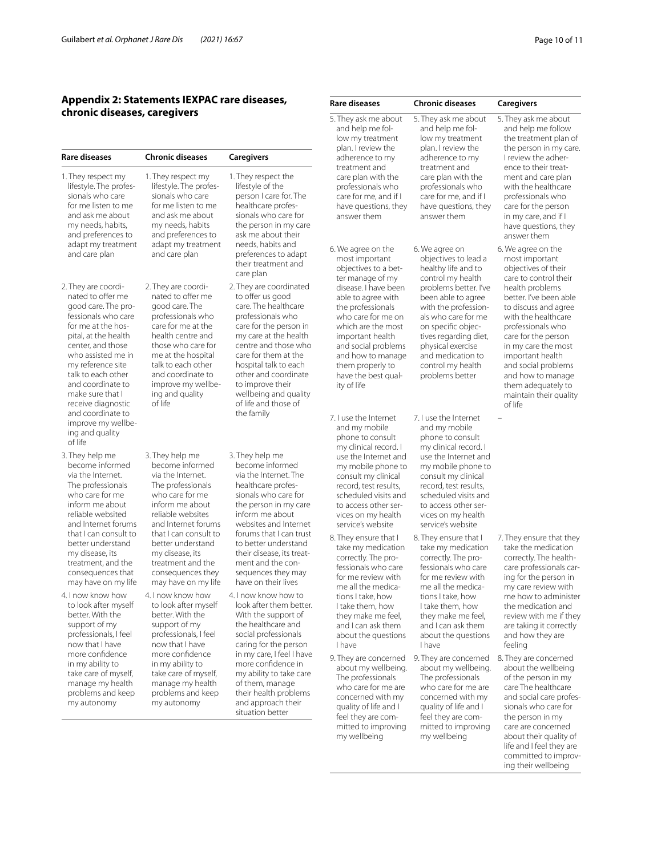# <span id="page-9-0"></span>**Appendix 2: Statements IEXPAC rare diseases, chronic diseases, caregivers**

| <b>Rare diseases</b>                                                                                                                                                                                                                                                                                                                                    | <b>Chronic diseases</b>                                                                                                                                                                                                                                                                          | Caregivers                                                                                                                                                                                                                                                                                                                       | <b>IOW IIII</b> treatment<br>plan. I review the<br>adherence to my                                                                                                                                                                                                                                                                                      |
|---------------------------------------------------------------------------------------------------------------------------------------------------------------------------------------------------------------------------------------------------------------------------------------------------------------------------------------------------------|--------------------------------------------------------------------------------------------------------------------------------------------------------------------------------------------------------------------------------------------------------------------------------------------------|----------------------------------------------------------------------------------------------------------------------------------------------------------------------------------------------------------------------------------------------------------------------------------------------------------------------------------|---------------------------------------------------------------------------------------------------------------------------------------------------------------------------------------------------------------------------------------------------------------------------------------------------------------------------------------------------------|
| 1. They respect my<br>lifestyle. The profes-<br>sionals who care<br>for me listen to me<br>and ask me about<br>my needs, habits,<br>and preferences to<br>adapt my treatment<br>and care plan                                                                                                                                                           | 1. They respect my<br>lifestyle. The profes-<br>sionals who care<br>for me listen to me<br>and ask me about<br>my needs, habits<br>and preferences to<br>adapt my treatment<br>and care plan                                                                                                     | 1. They respect the<br>lifestyle of the<br>person I care for. The<br>healthcare profes-<br>sionals who care for<br>the person in my care<br>ask me about their<br>needs, habits and<br>preferences to adapt<br>their treatment and<br>care plan                                                                                  | treatment and<br>care plan with the<br>professionals who<br>care for me, and if I<br>have questions, they<br>answer them<br>6. We agree on the<br>most important<br>objectives to a bet-                                                                                                                                                                |
| 2. They are coordi-<br>nated to offer me<br>good care. The pro-<br>fessionals who care<br>for me at the hos-<br>pital, at the health<br>center, and those<br>who assisted me in<br>my reference site<br>talk to each other<br>and coordinate to<br>make sure that I<br>receive diagnostic<br>and coordinate to<br>improve my wellbe-<br>ing and quality | 2. They are coordi-<br>nated to offer me<br>good care. The<br>professionals who<br>care for me at the<br>health centre and<br>those who care for<br>me at the hospital<br>talk to each other<br>and coordinate to<br>improve my wellbe-<br>ing and quality<br>of life                            | 2. They are coordinated<br>to offer us good<br>care. The healthcare<br>professionals who<br>care for the person in<br>my care at the health<br>centre and those who<br>care for them at the<br>hospital talk to each<br>other and coordinate<br>to improve their<br>wellbeing and quality<br>of life and those of<br>the family  | ter manage of my<br>disease. I have been<br>able to agree with<br>the professionals<br>who care for me on<br>which are the most<br>important health<br>and social problems<br>and how to manage<br>them properly to<br>have the best qual-<br>ity of life<br>7. I use the Internet<br>and my mobile<br>phone to consult                                 |
| of life<br>3. They help me<br>become informed<br>via the Internet.<br>The professionals<br>who care for me<br>inform me about<br>reliable websited<br>and Internet forums<br>that I can consult to<br>better understand<br>my disease, its<br>treatment, and the<br>consequences that<br>may have on my life                                            | 3. They help me<br>become informed<br>via the Internet.<br>The professionals<br>who care for me<br>inform me about<br>reliable websites<br>and Internet forums<br>that I can consult to<br>better understand<br>my disease, its<br>treatment and the<br>consequences they<br>may have on my life | 3. They help me<br>become informed<br>via the Internet. The<br>healthcare profes-<br>sionals who care for<br>the person in my care<br>inform me about<br>websites and Internet<br>forums that I can trust<br>to better understand<br>their disease, its treat-<br>ment and the con-<br>sequences they may<br>have on their lives | my clinical record. I<br>use the Internet and<br>my mobile phone to<br>consult my clinical<br>record, test results,<br>scheduled visits and<br>to access other ser-<br>vices on my health<br>service's website<br>8. They ensure that I<br>take my medication<br>correctly. The pro-<br>fessionals who care<br>for me review with<br>me all the medica- |
| 4. I now know how<br>to look after myself<br>better. With the<br>support of my<br>professionals, I feel<br>now that I have<br>more confidence<br>in my ability to<br>take care of myself,<br>manage my health<br>problems and keep<br>my autonomy                                                                                                       | 4. I now know how<br>to look after myself<br>better. With the<br>support of my<br>professionals, I feel<br>now that I have<br>more confidence<br>in my ability to<br>take care of myself,<br>manage my health<br>problems and keep<br>my autonomy                                                | 4. I now know how to<br>look after them better.<br>With the support of<br>the healthcare and<br>social professionals<br>caring for the person<br>in my care, I feel I have<br>more confidence in<br>my ability to take care<br>of them, manage<br>their health problems<br>and approach their<br>situation better                | tions I take, how<br>I take them, how<br>they make me feel,<br>and I can ask them<br>about the questions<br>I have<br>9. They are concerned<br>about my wellbeing.<br>The professionals<br>who care for me are<br>concerned with my<br>quality of life and I<br>feel they are com-                                                                      |

| <b>Rare diseases</b>                                                                                                                                                                                                                                                                                                      | <b>Chronic diseases</b>                                                                                                                                                                                                                                                                                           | Caregivers                                                                                                                                                                                                                                                                                                                                                                     |
|---------------------------------------------------------------------------------------------------------------------------------------------------------------------------------------------------------------------------------------------------------------------------------------------------------------------------|-------------------------------------------------------------------------------------------------------------------------------------------------------------------------------------------------------------------------------------------------------------------------------------------------------------------|--------------------------------------------------------------------------------------------------------------------------------------------------------------------------------------------------------------------------------------------------------------------------------------------------------------------------------------------------------------------------------|
| 5. They ask me about<br>and help me fol-<br>low my treatment<br>plan. I review the<br>adherence to my<br>treatment and<br>care plan with the<br>professionals who<br>care for me, and if I<br>have questions, they<br>answer them                                                                                         | 5. They ask me about<br>and help me fol-<br>low my treatment<br>plan. I review the<br>adherence to my<br>treatment and<br>care plan with the<br>professionals who<br>care for me, and if I<br>have questions, they<br>answer them                                                                                 | 5. They ask me about<br>and help me follow<br>the treatment plan of<br>the person in my care.<br>I review the adher-<br>ence to their treat-<br>ment and care plan<br>with the healthcare<br>professionals who<br>care for the person<br>in my care, and if I<br>have questions, they<br>answer them                                                                           |
| 6. We agree on the<br>most important<br>objectives to a bet-<br>ter manage of my<br>disease. I have been<br>able to agree with<br>the professionals<br>who care for me on<br>which are the most<br>important health<br>and social problems<br>and how to manage<br>them properly to<br>have the best qual-<br>ity of life | 6. We agree on<br>objectives to lead a<br>healthy life and to<br>control my health<br>problems better. I've<br>been able to agree<br>with the profession-<br>als who care for me<br>on specific objec-<br>tives regarding diet,<br>physical exercise<br>and medication to<br>control my health<br>problems better | 6. We agree on the<br>most important<br>objectives of their<br>care to control their<br>health problems<br>better. I've been able<br>to discuss and agree<br>with the healthcare<br>professionals who<br>care for the person<br>in my care the most<br>important health<br>and social problems<br>and how to manage<br>them adequately to<br>maintain their quality<br>of life |
| 7. I use the Internet<br>and my mobile<br>phone to consult<br>my clinical record. I<br>use the Internet and<br>my mobile phone to<br>consult my clinical<br>record, test results,<br>scheduled visits and<br>to access other ser-<br>vices on my health<br>service's website                                              | 7. I use the Internet<br>and my mobile<br>phone to consult<br>my clinical record. I<br>use the Internet and<br>my mobile phone to<br>consult my clinical<br>record, test results,<br>scheduled visits and<br>to access other ser-<br>vices on my health<br>service's website                                      |                                                                                                                                                                                                                                                                                                                                                                                |
| 8. They ensure that I<br>take my medication<br>correctly. The pro-<br>fessionals who care<br>for me review with<br>me all the medica-<br>tions I take, how<br>I take them, how<br>they make me feel,<br>and I can ask them<br>about the questions<br>I have                                                               | 8. They ensure that I<br>take my medication<br>correctly. The pro-<br>fessionals who care<br>for me review with<br>me all the medica-<br>tions I take, how<br>I take them, how<br>they make me feel,<br>and I can ask them<br>about the questions<br>I have                                                       | 7. They ensure that they<br>take the medication<br>correctly. The health-<br>care professionals car-<br>ing for the person in<br>my care review with<br>me how to administer<br>the medication and<br>review with me if they<br>are taking it correctly<br>and how they are<br>feeling                                                                                         |
| 9. They are concerned<br>about my wellbeing.<br>The professionals<br>who care for me are<br>concerned with my<br>quality of life and I<br>feel they are com-<br>mitted to improving<br>my wellbeing                                                                                                                       | 9. They are concerned<br>about my wellbeing.<br>The professionals<br>who care for me are<br>concerned with my<br>quality of life and I<br>feel they are com-<br>mitted to improving<br>my wellbeing                                                                                                               | 8. They are concerned<br>about the wellbeing<br>of the person in my<br>care The healthcare<br>and social care profes-<br>sionals who care for<br>the person in my<br>care are concerned<br>about their quality of<br>life and I feel they are<br>committed to improv-                                                                                                          |

ing their wellbeing